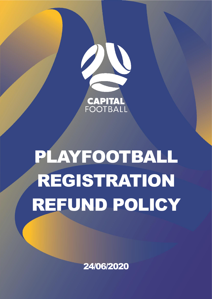

# PLAYFOOTBALL REGISTRATION REFUND POLICY

24/06/2020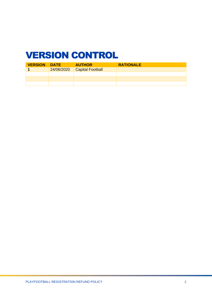# <span id="page-1-0"></span>VERSION CONTROL

| <b>VERSION DATE</b> |            | <b>AUTHOR</b>           | <b>RATIONALE</b> |
|---------------------|------------|-------------------------|------------------|
|                     | 24/06/2020 | <b>Capital Football</b> |                  |
|                     |            |                         |                  |
|                     |            |                         |                  |
|                     |            |                         |                  |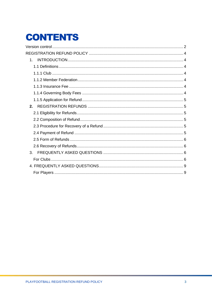# **CONTENTS**

| $1_{-}$ |  |
|---------|--|
|         |  |
|         |  |
|         |  |
|         |  |
|         |  |
|         |  |
| 2.      |  |
|         |  |
|         |  |
|         |  |
|         |  |
|         |  |
|         |  |
| 3.      |  |
|         |  |
|         |  |
|         |  |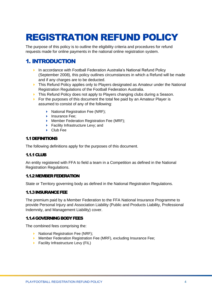# <span id="page-3-0"></span>REGISTRATION REFUND POLICY

The purpose of this policy is to outline the eligibility criteria and procedures for refund requests made for online payments in the national online registration system.

## <span id="page-3-1"></span>1. INTRODUCTION

- ▶ In accordance with Football Federation Australia's National Refund Policy (September 2008), this policy outlines circumstances in which a Refund will be made and if any charges are to be deducted.
- **This Refund Policy applies only to Players designated as Amateur under the National** Registration Regulations of the Football Federation Australia.
- This Refund Policy does not apply to Players changing clubs during a Season.
- For the purposes of this document the total fee paid by an Amateur Player is assumed to consist of any of the following:
	- ▶ National Registration Fee (NRF);
	- **Insurance Fee:**
	- **Member Federation Registration Fee (MRF);**
	- **Facility Infrastructure Levy; and**
	- ▶ Club Fee

#### <span id="page-3-2"></span>1.1 DEFINITIONS

The following definitions apply for the purposes of this document.

#### <span id="page-3-3"></span>1.1.1 CLUB

An entity registered with FFA to field a team in a Competition as defined in the National Registration Regulations.

#### <span id="page-3-4"></span>1.1.2 MEMBER FEDERATION

State or Territory governing body as defined in the National Registration Regulations.

#### <span id="page-3-5"></span>1.1.3 INSURANCE FEE

The premium paid by a Member Federation to the FFA National Insurance Programme to provide Personal Injury and Association Liability (Public and Products Liability, Professional Indemnity, and Management Liability) cover.

#### <span id="page-3-6"></span>1.1.4 GOVERNING BODY FEES

The combined fees comprising the:

- ▶ National Registration Fee (NRF);
- **Member Federation Registration Fee (MRF), excluding Insurance Fee;**
- **Facility Infrastructure Levy (FIL)**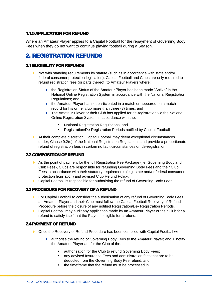#### <span id="page-4-0"></span>1.1.5 APPLICATION FOR REFUND

Where an Amateur Player applies to a Capital Football for the repayment of Governing Body Fees when they do not want to continue playing football during a Season.

## <span id="page-4-1"></span>2. REGISTRATION REFUNDS

#### <span id="page-4-2"></span>2.1 ELIGIBILITY FOR REFUNDS

- Not with standing requirements by statute (such as in accordance with state and/or federal consumer protection legislation), Capital Football and Clubs are only required to refund registration fees (or parts thereof) to Amateur Players where:
	- $\blacktriangleright$  the Registration Status of the Amateur Player has been made "Active" in the National Online Registration System in accordance with the National Registration Regulations; and
	- $\blacktriangleright$  the Amateur Player has not participated in a match or appeared on a match record for his or her club more than three (3) times; and
	- ▶ The Amateur Player or their Club has applied for de-registration via the National Online Registration System in accordance with the:
		- National Registration Regulations; and
		- Registration/De-Registration Periods notified by Capital Football
- At their complete discretion, Capital Football may deem exceptional circumstances under, Clause 9.2(e) of the National Registration Regulations and provide a proportionate refund of registration fees in certain no fault circumstances on de-registration.

#### <span id="page-4-3"></span>2.2 COMPOSITION OF REFUND

- As the point of payment for the full Registration Fee Package (i.e. Governing Body and Club Fees), Clubs are responsible for refunding Governing Body Fees and their Club Fees in accordance with their statutory requirements (e.g. state and/or federal consumer protection legislation) and advised Club Refund Policy.
- ▶ Capital Football is responsible for authorising the refund of Governing Body Fees.

#### <span id="page-4-4"></span>2.3 PROCEDURE FOR RECOVERY OF A REFUND

- $\triangleright$  For Capital Football to consider the authorisation of any refund of Governing Body Fees, an Amateur Player and their Club must follow the Capital Football Recovery of Refund Procedure before the closure of any notified Registration/De- Registration Periods.
- ▶ Capital Football may audit any application made by an Amateur Player or their Club for a refund to satisfy itself that the Player is eligible for a refund.

#### <span id="page-4-5"></span>2.4 PAYMENT OF REFUND

- ▶ Once the Recovery of Refund Procedure has been complied with Capital Football will:
	- authorise the refund of Governing Body Fees to the Amateur Player; and ii. notify the Amateur Player and/or the Club of the:
		- authorisation for the Club to refund Governing Body Fees;
		- any advised Insurance Fees and administration fees that are to be deducted from the Governing Body Fee refund; and
		- the timeframe that the refund must be processed in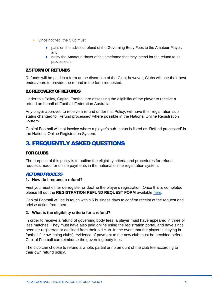- ▶ Once notified, the Club must:
	- **Pass on the advised refund of the Governing Body Fees to the Amateur Player:** and
	- **•** notify the Amateur Player of the timeframe that they intend for the refund to be processed in.

#### <span id="page-5-0"></span>2.5 FORM OF REFUNDS

Refunds will be paid in a form at the discretion of the Club; however, Clubs will use their best endeavours to provide the refund in the form requested.

#### <span id="page-5-1"></span>2.6 RECOVERY OF REFUNDS

Under this Policy, Capital Football are assessing the eligibility of the player to receive a refund on behalf of Football Federation Australia.

Any player approved to receive a refund under this Policy, will have their registration substatus changed to 'Refund processed' where possible in the National Online Registration System.

Capital Football will not invoice where a player's sub-status is listed as 'Refund processed' in the National Online Registration System.

### <span id="page-5-2"></span>3. FREQUENTLY ASKED QUESTIONS

#### <span id="page-5-3"></span>FOR CLUBS

The purpose of this policy is to outline the eligibility criteria and procedures for refund requests made for online payments in the national online registration system.

#### REFUND PROCESS

#### **1. How do I request a refund?**

First you must either de-register or decline the player's registration. Once this is completed please fill out the **REGISTRATION REFUND REQUEST FORM** available [here.](https://form.jotform.com/capital_football/2020-registration-refund-request)

Capital Football will be in touch within 5 business days to confirm receipt of the request and advise action from there.

#### **2. What is the eligibility criteria for a refund?**

In order to receive a refund of governing body fees, a player must have appeared in three or less matches. They must have also paid online using the registration portal, and have since been de-registered or declined from their old club. In the event that the player is staying in football (i.e switching clubs), evidence of payment to the new club must be provided before Capital Football can reimburse the governing body fees.

The club can choose to refund a whole, partial or no amount of the club fee according to their own refund policy.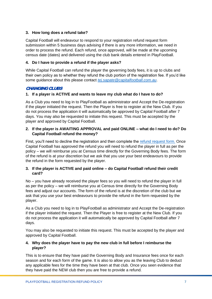#### **3. How long does a refund take?**

Capital Football will endeavour to respond to your registration refund request form submission within 5 business days advising if there is any more information, we need in order to process the refund. Each refund, once approved, will be made at the upcoming census date (dates) and delivered using the club bank details entered in PlayFootball.

#### **4. Do I have to provide a refund if the player asks?**

While Capital Football can refund the player the governing body fees, it is up to clubs and their own policy as to whether they refund the club portion of the registration fee. If you'd like some guidance about this please contact *[tej.sapate@capitalfootball.com.au](mailto:tej.sapate@capitalfootball.com.au)*.

#### CHANGING CLUBS

#### **1. If a player is ACTIVE and wants to leave my club what do I have to do?**

As a Club you need to log in to PlayFootball as administrator and Accept the De-registration if the player initiated the request. Then the Player is free to register at the New Club. If you do not process the application it will automatically be approved by Capital Football after 7 days. You may also be requested to initiate this request. This must be accepted by the player and approved by Capital Football.

#### **2. If the player is AWAITING APPROVAL and paid ONLINE – what do I need to do? Do Capital Football refund the money?**

First, you'll need to decline the registration and then complete the [refund request form.](https://form.jotform.com/capital_football/2020-registration-refund-request) Once Capital Football has approved the refund you will need to refund the player in full as per the policy – we will reimburse you at Census time directly for the Governing Body fees. The form of the refund is at your discretion but we ask that you use your best endeavours to provide the refund in the form requested by the player.

#### **3. If the player is ACTIVE and paid online – do Capital Football refund their credit card?**

No – you have already received the player fees so you will need to refund the player in full as per the policy – we will reimburse you at Census time directly for the Governing Body fees and adjust our accounts. The form of the refund is at the discretion of the club but we ask that you use your best endeavours to provide the refund in the form requested by the player.

As a Club you need to log in to PlayFootball as administrator and Accept the De-registration if the player initiated the request. Then the Player is free to register at the New Club. If you do not process the application it will automatically be approved by Capital Football after 7 days.

You may also be requested to initiate this request. This must be accepted by the player and approved by Capital Football.

#### **4. Why does the player have to pay the new club in full before I reimburse the player?**

This is to ensure that they have paid the Governing Body and Insurance fees once for each season and for each form of the game. It is also to allow you as the leaving Club to deduct any applicable fees for the time they have been at that club. Once you seen evidence that they have paid the NEW club then you are free to provide a refund.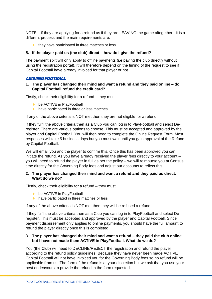NOTE – if they are applying for a refund as if they are LEAVING the game altogether - it is a different process and the main requirements are:

 $\blacktriangleright$  they have participated in three matches or less

#### **5. If the player paid us (the club) direct – how do I give the refund?**

The payment split will only apply to offline payments (i.e paying the club directly without using the registration portal). It will therefore depend on the timing of the request to see if Capital Football have already invoiced for that player or not.

#### LEAVING FOOTBALL

#### **1. The player has changed their mind and want a refund and they paid online – do Capital Football refund the credit card?**

Firstly, check their eligibility for a refund – they must:

- be ACTIVE in PlayFootball
- $\blacktriangleright$  have participated in three or less matches

If any of the above criteria is NOT met then they are not eligible for a refund.

If they fulfil the above criteria then as a Club you can log in to PlayFootball and select Deregister. There are various options to choose. This must be accepted and approved by the player and Capital Football. You will then need to complete the Online Request Form. Most responses will take 5 business days but you must wait until you gain approval of the Refund by Capital Football.

We will email you and the player to confirm this. Once this has been approved you can initiate the refund. As you have already received the player fees directly to your account – you will need to refund the player in full as per the policy – we will reimburse you at Census time directly for the Governing Body fees and adjust our accounts to reflect this.

#### **2. The player has changed their mind and want a refund and they paid us direct. What do we do?**

Firstly, check their eligibility for a refund – they must:

- be ACTIVE in PlayFootball
- $\blacktriangleright$  have participated in three matches or less

If any of the above criteria is NOT met then they will be refused a refund.

If they fulfil the above criteria then as a Club you can log in to PlayFootball and select Deregister. This must be accepted and approved by the player and Capital Football. Since payment disbursement only applies to online payments, you should have the full amount to refund the player directly once this is completed.

#### **3. The player has changed their mind and want a refund – they paid the club online but I have not made them ACTIVE in PlayFootball. What do we do?**

You (the Club) will need to DECLINE/REJECT the registration and refund the player according to the refund policy guidelines. Because they have never been made ACTIVE Capital Football will not have invoiced you for the Governing Body fees so no refund will be applicable from us. The form of the refund is at your discretion but we ask that you use your best endeavours to provide the refund in the form requested.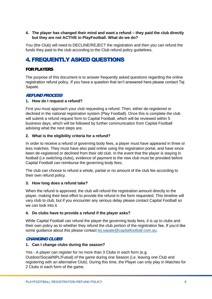#### **4. The player has changed their mind and want a refund – they paid the club directly but they are not ACTIVE in PlayFootball. What do we do?**

You (the Club) will need to DECLINE/REJECT the registration and then you can refund the funds they paid to the club according to the Club refund policy guidelines.

## <span id="page-8-0"></span>4.FREQUENTLY ASKED QUESTIONS

#### <span id="page-8-1"></span>FOR PLAYERS

The purpose of this document is to answer frequently asked questions regarding the online registration refund policy. If you have a question that isn't answered here please contact Tej Sapate.

#### REFUND PROCESS

#### **1. How do I request a refund?**

First you must approach your club requesting a refund. Then, either de-registered or declined in the national registration system (Play Football). Once this is complete the club will submit a refund request form to Capital Football, which will be reviewed within 5 business days, which will be followed by further communication from Capital Football advising what the next steps are.

#### **2. What is the eligibility criteria for a refund?**

In order to receive a refund of governing body fees, a player must have appeared in three or less matches. They must have also paid online using the registration portal, and have since been de-registered or declined from their old club. In the event that the player is staying in football (i.e switching clubs), evidence of payment to the new club must be provided before Capital Football can reimburse the governing body fees.

The club can choose to refund a whole, partial or no amount of the club fee according to their own refund policy.

#### **3. How long does a refund take?**

When the refund is approved, the club will refund the registration amount directly to the player, making their best effort to provide the refund in the form requested. This timeline will vary club to club, but if you encounter any serious delay please contact Capital Football so we can look into it.

#### **4. Do clubs have to provide a refund if the player asks?**

While Capital Football can refund the player the governing body fees, it is up to clubs and their own policy as to whether they refund the club portion of the registration fee. If you'd like some guidance about this please contact [tej.sapate@capitalfootball.com.au.](mailto:tej.sapate@capitalfootball.com.au)

#### CHANGING CLUBS

#### **1. Can I change clubs during the season?**

Yes - A player can register for no more than 3 Clubs in each form (e.g. Outdoor/Social/NPL/Futsal) of the game during one Season (i.e. leaving one Club and registering with an alternative Club). During this time, the Player can only play in Matches for 2 Clubs in each form of the game.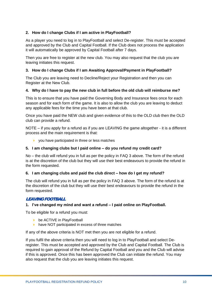#### **2. How do I change Clubs if I am active in PlayFootball?**

As a player you need to log in to PlayFootball and select De-register. This must be accepted and approved by the Club and Capital Football. If the Club does not process the application it will automatically be approved by Capital Football after 7 days.

Then you are free to register at the new club. You may also request that the club you are leaving initiates this request.

#### **3. How do I change Clubs if I am Awaiting Approval/Payment in PlayFootball?**

The Club you are leaving need to Decline/Reject your Registration and then you can Register at the New Club.

#### **4. Why do I have to pay the new club in full before the old club will reimburse me?**

This is to ensure that you have paid the Governing Body and Insurance fees once for each season and for each form of the game. It is also to allow the club you are leaving to deduct any applicable fees for the time you have been at that club.

Once you have paid the NEW club and given evidence of this to the OLD club then the OLD club can provide a refund.

NOTE – if you apply for a refund as if you are LEAVING the game altogether - it is a different process and the main requirement is that:

▶ you have participated in three or less matches

#### **5. I am changing clubs but I paid online – do you refund my credit card?**

No – the club will refund you in full as per the policy in FAQ 3 above. The form of the refund is at the discretion of the club but they will use their best endeavours to provide the refund in the form requested.

#### **6. I am changing clubs and paid the club direct – how do I get my refund?**

The club will refund you in full as per the policy in FAQ 3 above. The form of the refund is at the discretion of the club but they will use their best endeavours to provide the refund in the form requested.

#### LEAVING FOOTBALL

#### **1. I've changed my mind and want a refund – I paid online on PlayFootball.**

To be eligible for a refund you must:

- **b** be ACTIVE in PlayFootball
- $\triangleright$  have NOT participated in excess of three matches

If any of the above criteria is NOT met then you are not eligible for a refund.

If you fulfil the above criteria then you will need to log in to PlayFootball and select Deregister. This must be accepted and approved by the Club and Capital Football. The Club is required to gain approval of the Refund by Capital Football and you and the Club will advise if this is approved. Once this has been approved the Club can initiate the refund. You may also request that the club you are leaving initiates this request.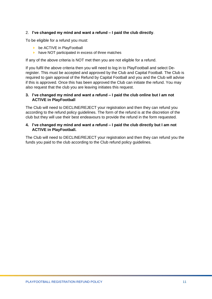#### 2. **I've changed my mind and want a refund – I paid the club directly**.

To be eligible for a refund you must:

- be ACTIVE in PlayFootball
- $\triangleright$  have NOT participated in excess of three matches

If any of the above criteria is NOT met then you are not eligible for a refund.

If you fulfil the above criteria then you will need to log in to PlayFootball and select Deregister. This must be accepted and approved by the Club and Capital Football. The Club is required to gain approval of the Refund by Capital Football and you and the Club will advise if this is approved. Once this has been approved the Club can initiate the refund. You may also request that the club you are leaving initiates this request.

#### **3. I've changed my mind and want a refund – I paid the club online but I am not ACTIVE in PlayFootball**

The Club will need to DECLINE/REJECT your registration and then they can refund you according to the refund policy guidelines. The form of the refund is at the discretion of the club but they will use their best endeavours to provide the refund in the form requested.

#### **4. I've changed my mind and want a refund – I paid the club directly but I am not ACTIVE in PlayFootball.**

The Club will need to DECLINE/REJECT your registration and then they can refund you the funds you paid to the club according to the Club refund policy guidelines.